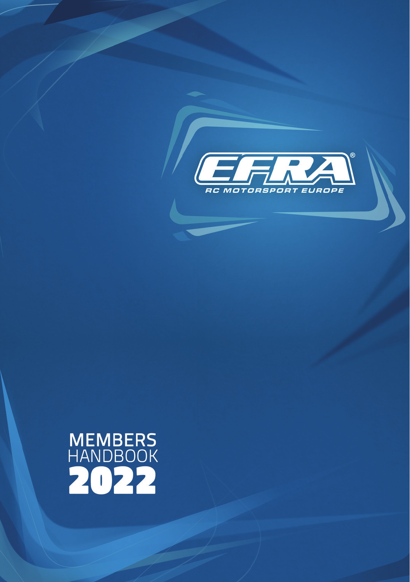

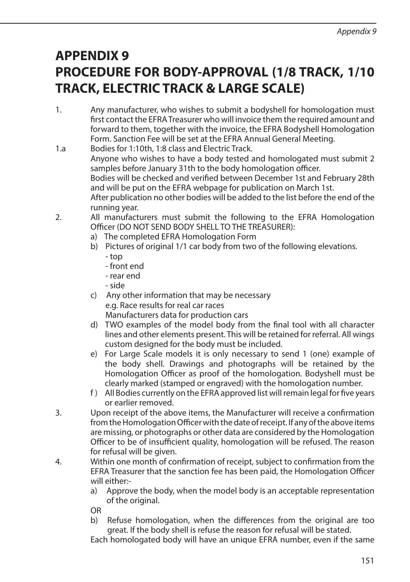## **APPENDIX 9 PROCEDURE FOR BODY-APPROVAL (1/8 TRACK, 1/10 TRACK, ELECTRIC TRACK & LARGE SCALE)**

- 1. Any manufacturer, who wishes to submit a bodyshell for homologation must first contact the EFRA Treasurer who will invoice them the required amount and forward to them, together with the invoice, the EFRA Bodyshell Homologation Form. Sanction Fee will be set at the EFRA Annual General Meeting.
- 1.a Bodies for 1:10th, 1:8 class and Electric Track. Anyone who wishes to have a body tested and homologated must submit 2 samples before January 31th to the body homologation officer. Bodies will be checked and verified between December 1st and February 28th and will be put on the EFRA webpage for publication on March 1st. After publication no other bodies will be added to the list before the end of the running year.
- 2. All manufacturers must submit the following to the EFRA Homologation Officer (DO NOT SEND BODY SHELL TO THE TREASURER):
	- a) The completed EFRA Homologation Form
	- b) Pictures of original 1/1 car body from two of the following elevations.
		- top
		- front end
		- rear end
		- side
	- c) Any other information that may be necessary e.g. Race results for real car races Manufacturers data for production cars
	- d) TWO examples of the model body from the final tool with all character lines and other elements present. This will be retained for referral. All wings custom designed for the body must be included.
	- e) For Large Scale models it is only necessary to send 1 (one) example of the body shell. Drawings and photographs will be retained by the Homologation Officer as proof of the homologation. Bodyshell must be clearly marked (stamped or engraved) with the homologation number.
	- f ) All Bodies currently on the EFRA approved list will remain legal for five years or earlier removed.
- 3. Upon receipt of the above items, the Manufacturer will receive a confirmation from the Homologation Officer with the date of receipt. If any of the above items are missing, or photographs or other data are considered by the Homologation Officer to be of insufficient quality, homologation will be refused. The reason for refusal will be given.
- 4. Within one month of confirmation of receipt, subject to confirmation from the EFRA Treasurer that the sanction fee has been paid, the Homologation Officer will either:
	- a) Approve the body, when the model body is an acceptable representation of the original.
	- OR
	- b) Refuse homologation, when the differences from the original are too great. If the body shell is refuse the reason for refusal will be stated.

Each homologated body will have an unique EFRA number, even if the same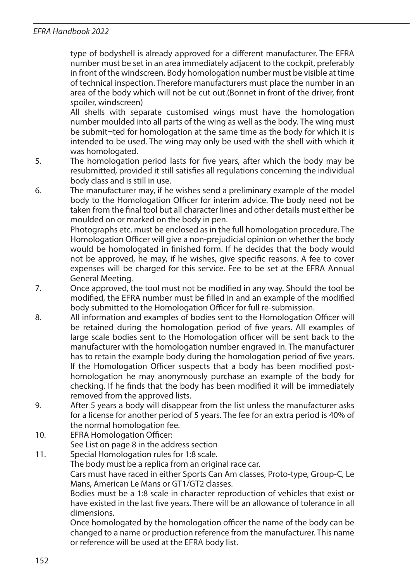## *EFRA Handbook 2022*

type of bodyshell is already approved for a different manufacturer. The EFRA number must be set in an area immediately adjacent to the cockpit, preferably in front of the windscreen. Body homologation number must be visible at time of technical inspection. Therefore manufacturers must place the number in an area of the body which will not be cut out.(Bonnet in front of the driver, front spoiler, windscreen)

 All shells with separate customised wings must have the homologation number moulded into all parts of the wing as well as the body. The wing must be submit¬ted for homologation at the same time as the body for which it is intended to be used. The wing may only be used with the shell with which it was homologated.

- 5. The homologation period lasts for five years, after which the body may be resubmitted, provided it still satisfies all regulations concerning the individual body class and is still in use.
- 6. The manufacturer may, if he wishes send a preliminary example of the model body to the Homologation Officer for interim advice. The body need not be taken from the final tool but all character lines and other details must either be moulded on or marked on the body in pen.

 Photographs etc. must be enclosed as in the full homologation procedure. The Homologation Officer will give a non-prejudicial opinion on whether the body would be homologated in finished form. If he decides that the body would not be approved, he may, if he wishes, give specific reasons. A fee to cover expenses will be charged for this service. Fee to be set at the EFRA Annual General Meeting.

- 7. Once approved, the tool must not be modified in any way. Should the tool be modified, the EFRA number must be filled in and an example of the modified body submitted to the Homologation Officer for full re-submission.
- 8. All information and examples of bodies sent to the Homologation Officer will be retained during the homologation period of five years. All examples of large scale bodies sent to the Homologation officer will be sent back to the manufacturer with the homologation number engraved in. The manufacturer has to retain the example body during the homologation period of five years. If the Homologation Officer suspects that a body has been modified posthomologation he may anonymously purchase an example of the body for checking. If he finds that the body has been modified it will be immediately removed from the approved lists.
- 9. After 5 years a body will disappear from the list unless the manufacturer asks for a license for another period of 5 years. The fee for an extra period is 40% of the normal homologation fee.
- 10. EFRA Homologation Officer:

See List on page 8 in the address section

or reference will be used at the EFRA body list.

11. Special Homologation rules for 1:8 scale. The body must be a replica from an original race car. Cars must have raced in either Sports Can Am classes, Proto-type, Group-C, Le Mans, American Le Mans or GT1/GT2 classes. Bodies must be a 1:8 scale in character reproduction of vehicles that exist or have existed in the last five years. There will be an allowance of tolerance in all dimensions. Once homologated by the homologation officer the name of the body can be changed to a name or production reference from the manufacturer. This name